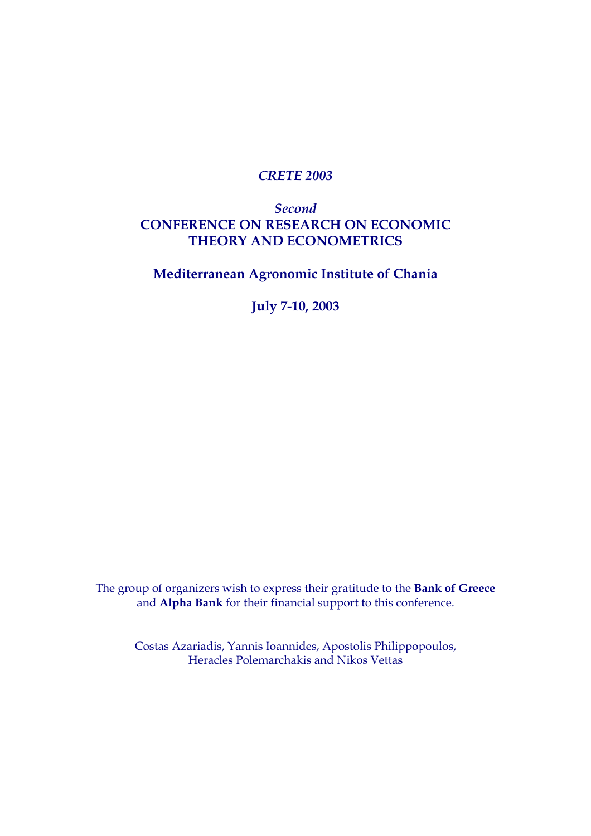### *CRETE 2003*

## *Second*  **CONFERENCE ON RESEARCH ON ECONOMIC THEORY AND ECONOMETRICS**

**Mediterranean Agronomic Institute of Chania** 

**July 7-10, 2003** 

The group of organizers wish to express their gratitude to the **Bank of Greece** and **Alpha Bank** for their financial support to this conference.

Costas Azariadis, Yannis Ioannides, Apostolis Philippopoulos, Heracles Polemarchakis and Nikos Vettas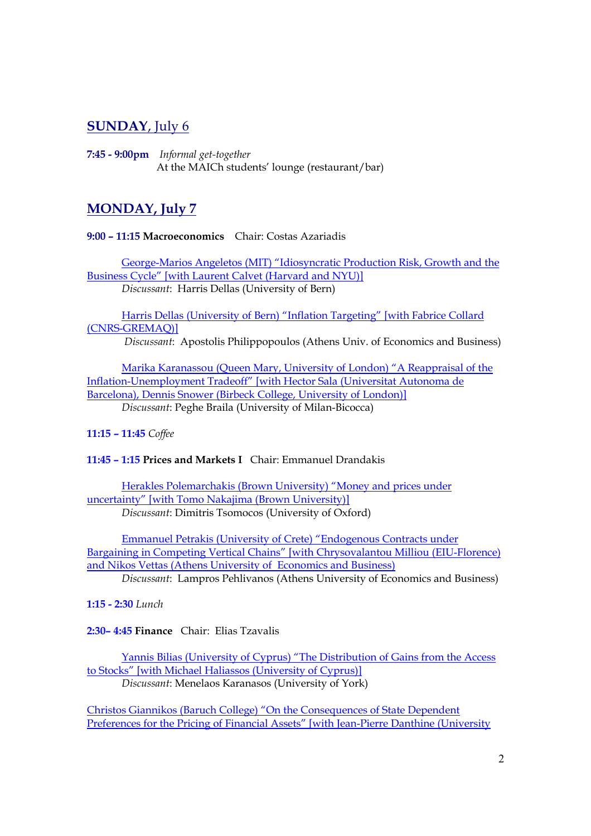## **SUNDAY**, July 6

**7:45 - 9:00pm** *Informal get-together*  At the MAICh students' lounge (restaurant/bar)

# **MONDAY, July 7**

**9:00 – 11:15 Macroeconomics** Chair: Costas Azariadis

George-Marios Angeletos (MIT) "Idiosyncratic Production Risk, Growth and the Business Cycle" [with Laurent Calvet (Harvard and NYU)] *Discussant*: Harris Dellas (University of Bern)

Harris Dellas (University of Bern) "Inflation Targeting" [with Fabrice Collard (CNRS-GREMAQ)]

*Discussant*: Apostolis Philippopoulos (Athens Univ. of Economics and Business)

Marika Karanassou (Queen Mary, University of London) "A Reappraisal of the Inflation-Unemployment Tradeoff" [with Hector Sala (Universitat Autonoma de Barcelona), Dennis Snower (Birbeck College, University of London)]

*Discussant*: Peghe Braila (University of Milan-Bicocca)

**11:15 – 11:45** *Coffee* 

### **11:45 – 1:15 Prices and Markets I** Chair: Emmanuel Drandakis

Herakles Polemarchakis (Brown University) "Money and prices under uncertainty" [with Tomo Nakajima (Brown University)] *Discussant*: Dimitris Tsomocos (University of Oxford)

Emmanuel Petrakis (University of Crete) "Endogenous Contracts under Bargaining in Competing Vertical Chains" [with Chrysovalantou Milliou (EIU-Florence) and Nikos Vettas (Athens University of Economics and Business)

*Discussant*: Lampros Pehlivanos (Athens University of Economics and Business)

**1:15 - 2:30** *Lunch* 

**2:30– 4:45 Finance** Chair: Elias Tzavalis

Yannis Bilias (University of Cyprus) "The Distribution of Gains from the Access to Stocks" [with Michael Haliassos (University of Cyprus)] *Discussant*: Menelaos Karanasos (University of York)

Christos Giannikos (Baruch College) "On the Consequences of State Dependent Preferences for the Pricing of Financial Assets" [with Jean-Pierre Danthine (University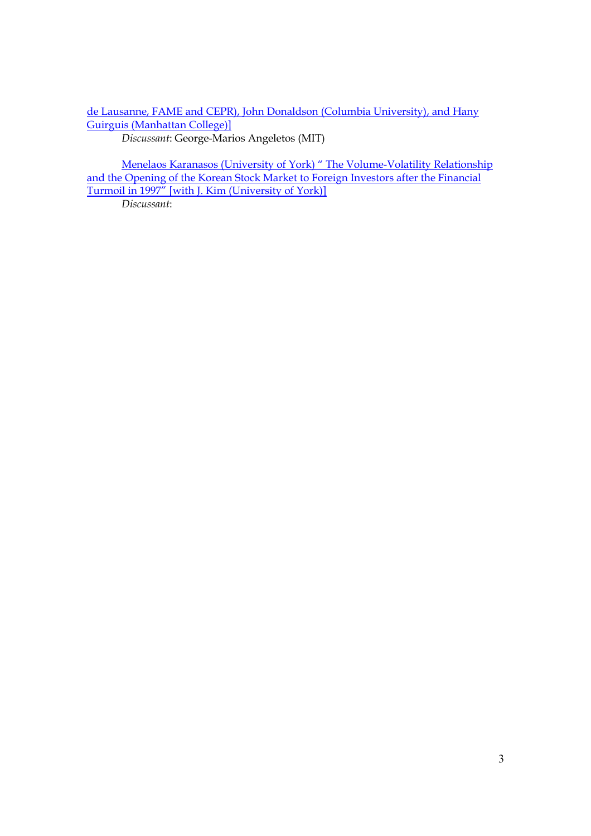de Lausanne, FAME and CEPR), John Donaldson (Columbia University), and Hany Guirguis (Manhattan College)] *Discussant*: George-Marios Angeletos (MIT)

Menelaos Karanasos (University of York) " The Volume-Volatility Relationship and the Opening of the Korean Stock Market to Foreign Investors after the Financial Turmoil in 1997" [with J. Kim (University of York)]

*Discussant*: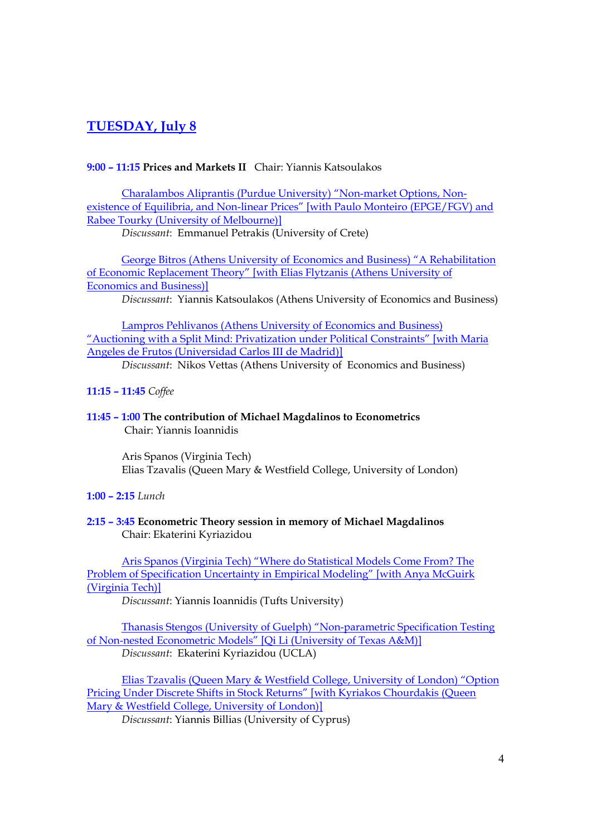## **TUESDAY, July 8**

#### **9:00 – 11:15 Prices and Markets II** Chair: Yiannis Katsoulakos

Charalambos Aliprantis (Purdue University) "Non-market Options, Nonexistence of Equilibria, and Non-linear Prices" [with Paulo Monteiro (EPGE/FGV) and Rabee Tourky (University of Melbourne)]

*Discussant*: Emmanuel Petrakis (University of Crete)

George Bitros (Athens University of Economics and Business) "A Rehabilitation of Economic Replacement Theory" [with Elias Flytzanis (Athens University of Economics and Business)]

*Discussant*: Yiannis Katsoulakos (Athens University of Economics and Business)

Lampros Pehlivanos (Athens University of Economics and Business) "Auctioning with a Split Mind: Privatization under Political Constraints" [with Maria Angeles de Frutos (Universidad Carlos III de Madrid)]

*Discussant*: Nikos Vettas (Athens University of Economics and Business)

- **11:15 11:45** *Coffee*
- **11:45 1:00 The contribution of Michael Magdalinos to Econometrics** Chair: Yiannis Ioannidis

Aris Spanos (Virginia Tech) Elias Tzavalis (Queen Mary & Westfield College, University of London)

- **1:00 2:15** *Lunch*
- **2:15 3:45 Econometric Theory session in memory of Michael Magdalinos** Chair: Ekaterini Kyriazidou

Aris Spanos (Virginia Tech) "Where do Statistical Models Come From? The Problem of Specification Uncertainty in Empirical Modeling" [with Anya McGuirk (Virginia Tech)]

*Discussant*: Yiannis Ioannidis (Tufts University)

Thanasis Stengos (University of Guelph) "Non-parametric Specification Testing of Non-nested Econometric Models" [Qi Li (University of Texas A&M)] *Discussant*: Ekaterini Kyriazidou (UCLA)

Elias Tzavalis (Queen Mary & Westfield College, University of London) "Option Pricing Under Discrete Shifts in Stock Returns" [with Kyriakos Chourdakis (Queen Mary & Westfield College, University of London)]

*Discussant*: Yiannis Billias (University of Cyprus)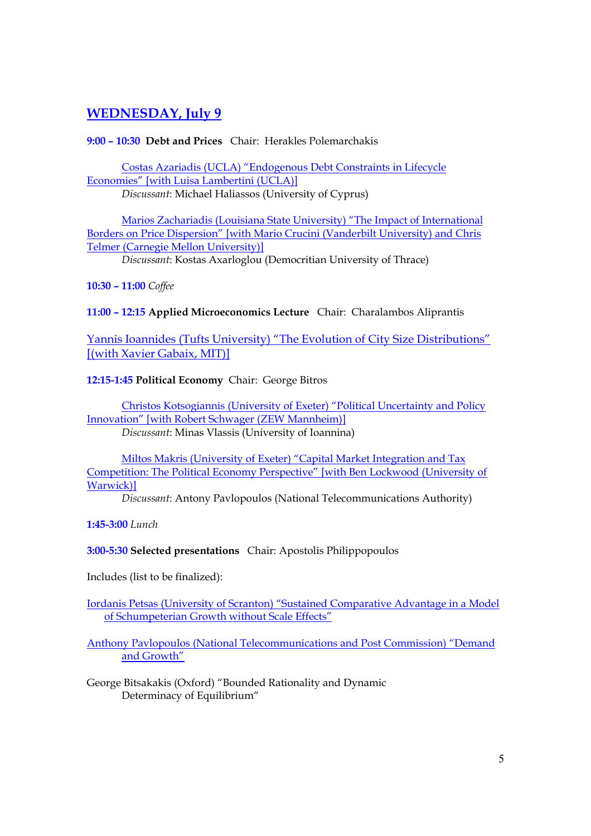## **WEDNESDAY, July 9**

### **9:00 – 10:30 Debt and Prices** Chair: Herakles Polemarchakis

Costas Azariadis (UCLA) "Endogenous Debt Constraints in Lifecycle Economies" [with Luisa Lambertini (UCLA)]

*Discussant*: Michael Haliassos (University of Cyprus)

Marios Zachariadis (Louisiana State University) "The Impact of International Borders on Price Dispersion" [with Mario Crucini (Vanderbilt University) and Chris Telmer (Carnegie Mellon University)]

*Discussant*: Kostas Axarloglou (Democritian University of Thrace)

### **10:30 – 11:00** *Coffee*

**11:00 – 12:15 Applied Microeconomics Lecture** Chair: Charalambos Aliprantis

Yannis Ioannides (Tufts University) "The Evolution of City Size Distributions" [(with Xavier Gabaix, MIT)]

### **12:15-1:45 Political Economy** Chair: George Bitros

Christos Kotsogiannis (University of Exeter) "Political Uncertainty and Policy Innovation" [with Robert Schwager (ZEW Mannheim)] *Discussant*: Minas Vlassis (University of Ioannina)

Miltos Makris (University of Exeter) "Capital Market Integration and Tax Competition: The Political Economy Perspective" [with Ben Lockwood (University of

Warwick)]

*Discussant*: Antony Pavlopoulos (National Telecommunications Authority)

**1:45-3:00** *Lunch* 

### **3:00-5:30 Selected presentations** Chair: Apostolis Philippopoulos

Includes (list to be finalized):

Iordanis Petsas (University of Scranton) "Sustained Comparative Advantage in a Model of Schumpeterian Growth without Scale Effects"

Anthony Pavlopoulos (National Telecommunications and Post Commission) "Demand and Growth"

George Bitsakakis (Oxford) "Bounded Rationality and Dynamic Determinacy of Equilibrium"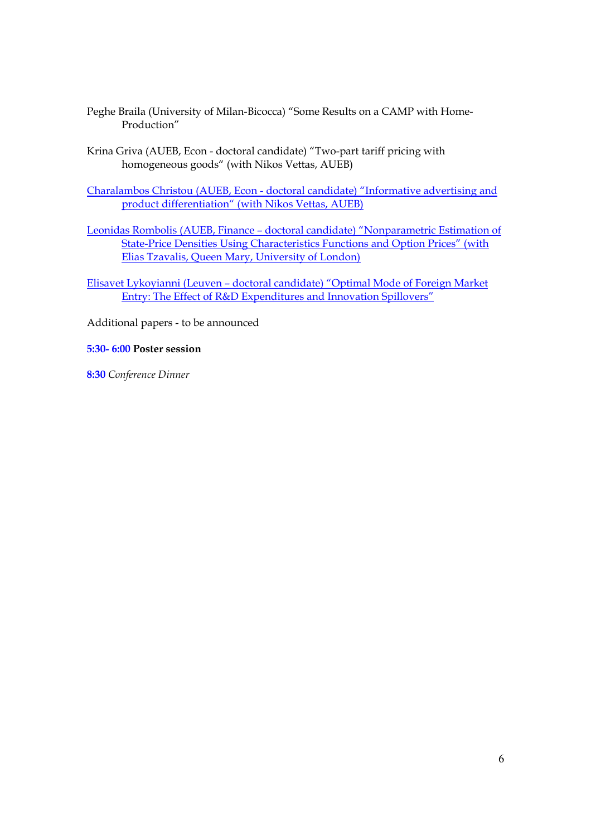- Peghe Braila (University of Milan-Bicocca) "Some Results on a CAMP with Home-Production"
- Krina Griva (AUEB, Econ doctoral candidate) "Two-part tariff pricing with homogeneous goods" (with Nikos Vettas, AUEB)

Charalambos Christou (AUEB, Econ - doctoral candidate) "Informative advertising and product differentiation" (with Nikos Vettas, AUEB)

- Leonidas Rombolis (AUEB, Finance doctoral candidate) "Nonparametric Estimation of State-Price Densities Using Characteristics Functions and Option Prices" (with Elias Tzavalis, Queen Mary, University of London)
- Elisavet Lykoyianni (Leuven doctoral candidate) "Optimal Mode of Foreign Market Entry: The Effect of R&D Expenditures and Innovation Spillovers"

Additional papers - to be announced

#### **5:30- 6:00 Poster session**

**8:30** *Conference Dinner*